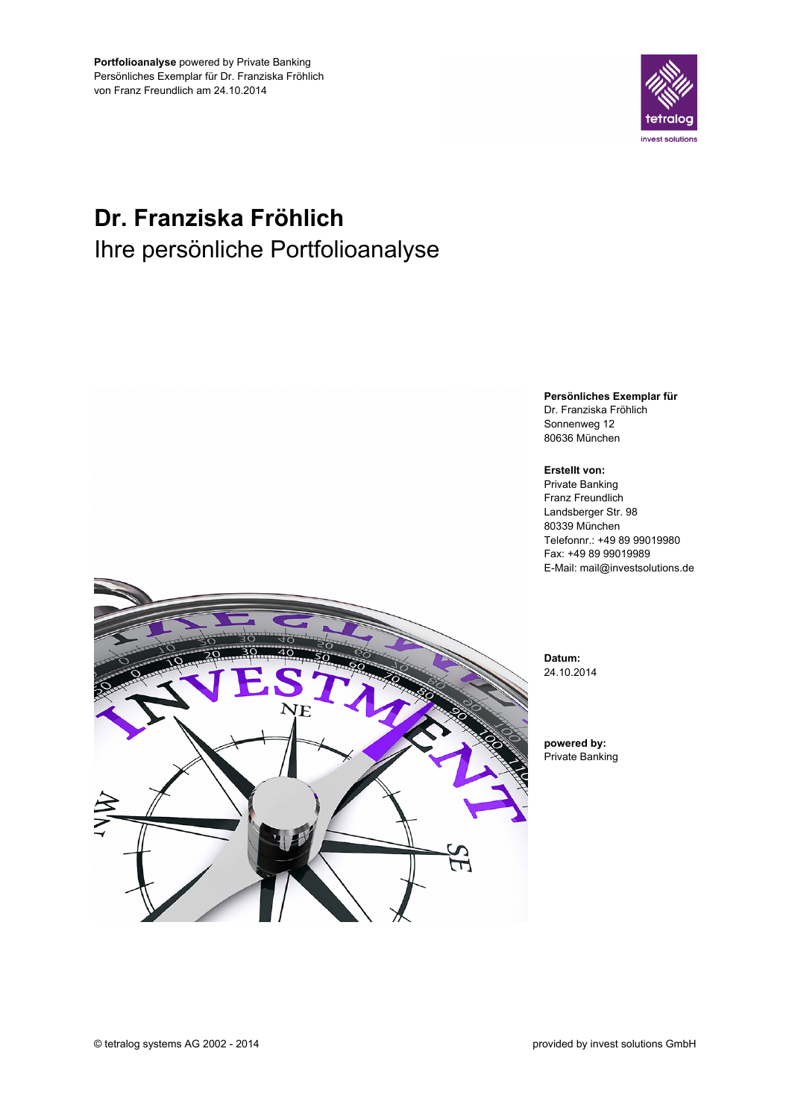

# Dr. Franziska Fröhlich Ihre persönliche Portfolioanalyse



Telefonnr.: +49 89 99019980 E-Mail: mail@investsolutions.de

© tetralog systems AG 2002 - 2014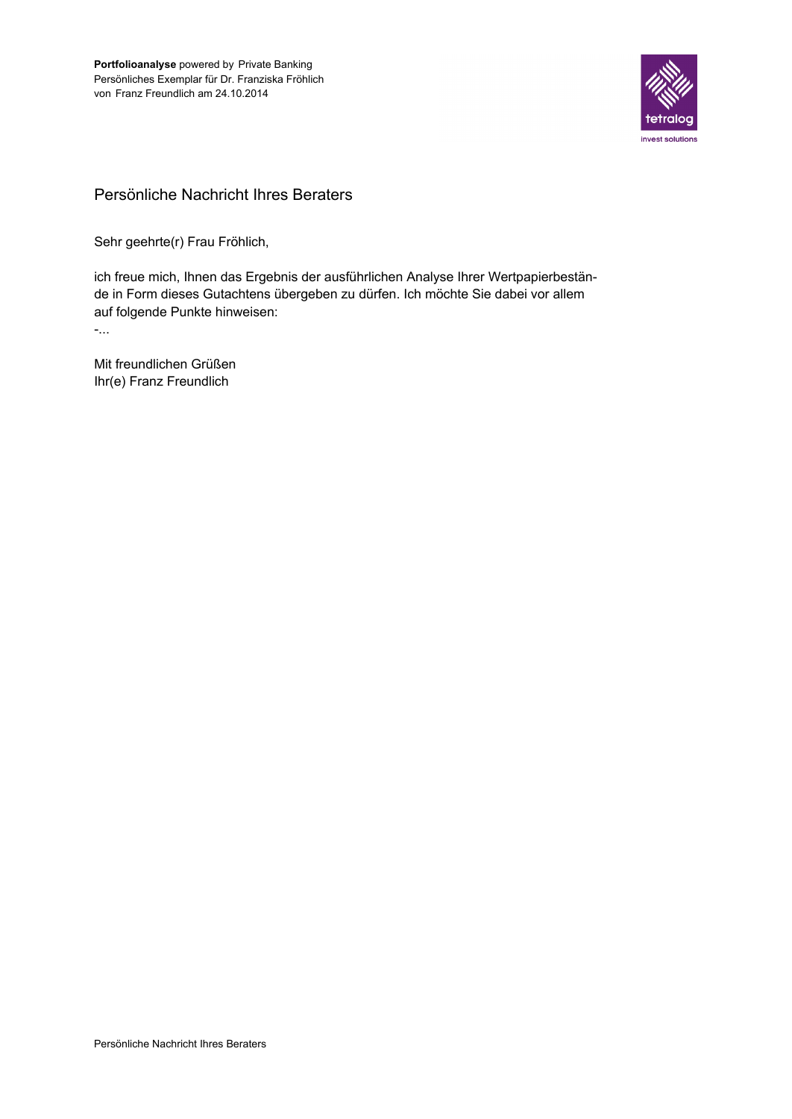

## Persönliche Nachricht Ihres Beraters

Sehr geehrte(r) Frau Fröhlich,

ich freue mich, Ihnen das Ergebnis der ausführlichen Analyse Ihrer Wertpapierbestände in Form dieses Gutachtens übergeben zu dürfen. Ich möchte Sie dabei vor allem auf folgende Punkte hinweisen:

 $\mathcal{L}_{\text{max}}$ 

Mit freundlichen Grüßen Ihr(e) Franz Freundlich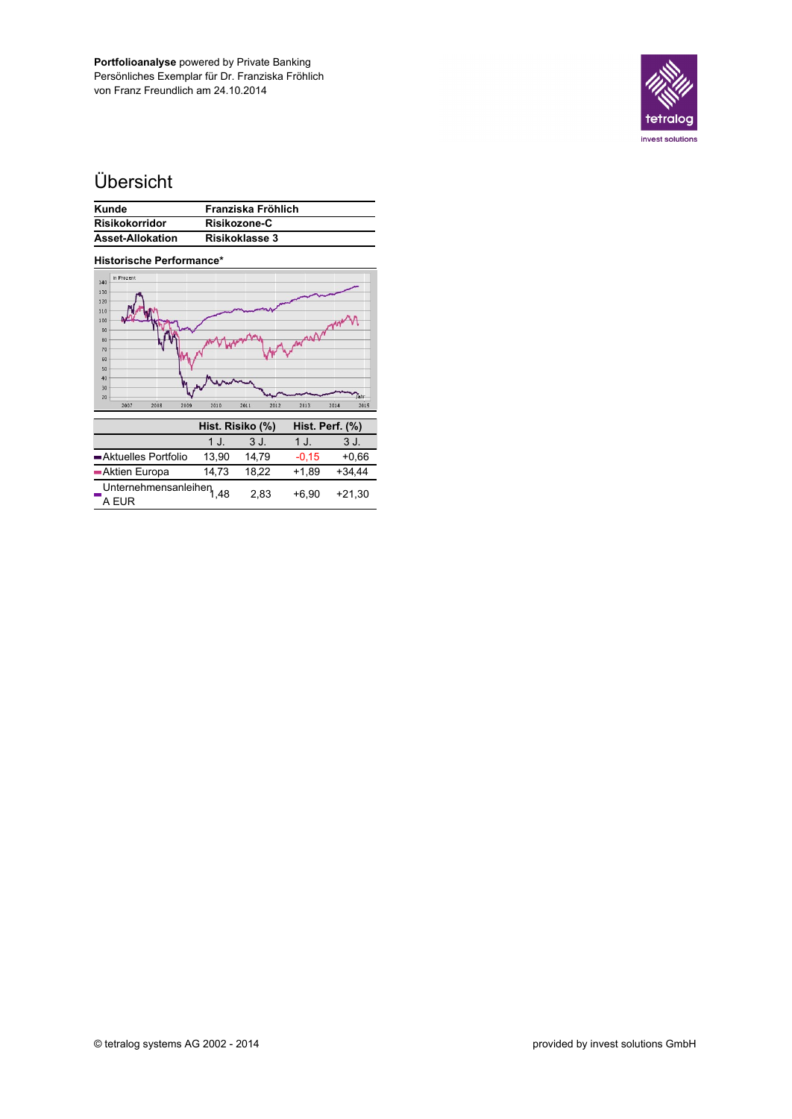

# Übersicht

| Kunde                   | Franziska Fröhlich |
|-------------------------|--------------------|
| <b>Risikokorridor</b>   | Risikozone-C       |
| <b>Asset-Allokation</b> | Risikoklasse 3     |

| <b>Historische Performance*</b>               |       |                  |         |                 |
|-----------------------------------------------|-------|------------------|---------|-----------------|
| in Prozent<br>140                             |       |                  |         |                 |
| 130<br>120                                    |       |                  |         |                 |
| 110<br>100                                    |       |                  |         |                 |
| 90<br>80                                      |       |                  | man     |                 |
| 70<br>60                                      |       |                  |         |                 |
| 50<br>40                                      |       |                  |         |                 |
| 30<br>20                                      |       |                  |         | lahr            |
| 2007<br>2008<br>2009                          | 2010  | 2011<br>2012     | 2013    | 2014<br>2015    |
|                                               |       | Hist. Risiko (%) |         | Hist. Perf. (%) |
|                                               | 1 J.  | 3 J.             | 1 J.    | 3 J.            |
| Aktuelles Portfolio                           | 13,90 | 14,79            | $-0,15$ | +0,66           |
| ■Aktien Europa                                | 14,73 | 18,22            | $+1,89$ | $+34,44$        |
| Unternehmensanleihen <sub>1,48</sub><br>A EUR |       | 2,83             | $+6,90$ | +21,30          |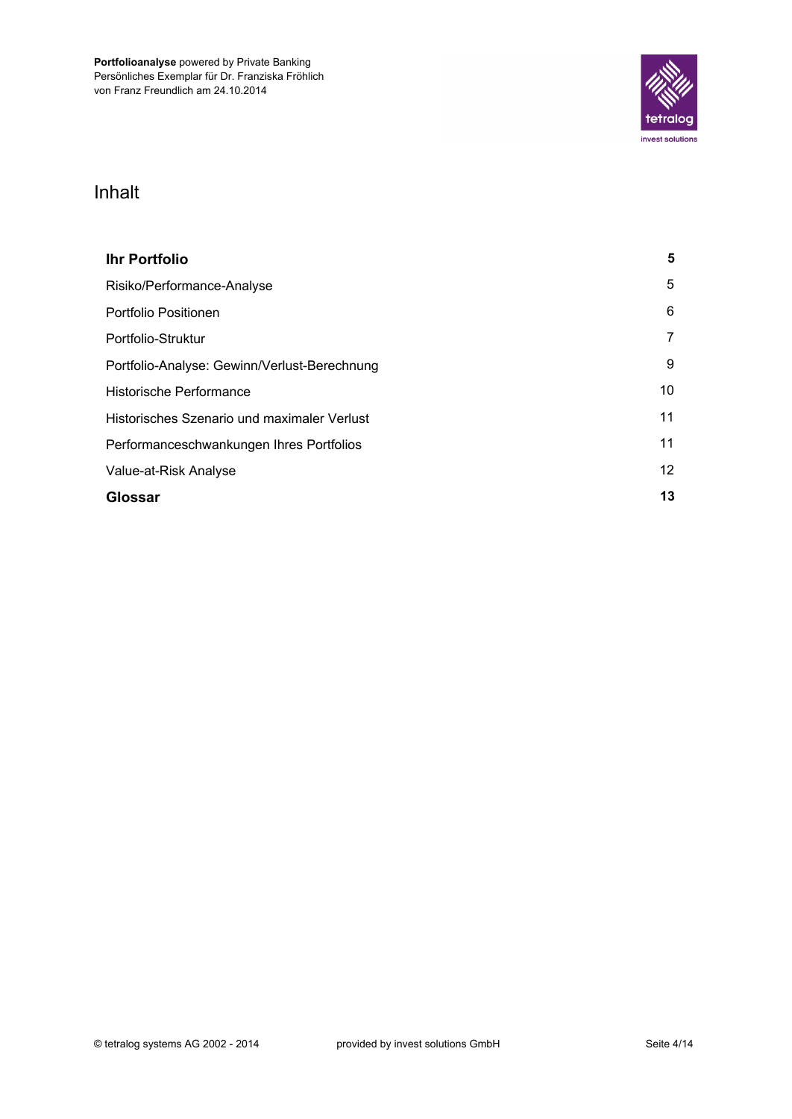

# Inhalt

| <b>Ihr Portfolio</b>                         | 5  |
|----------------------------------------------|----|
| Risiko/Performance-Analyse                   | 5  |
| Portfolio Positionen                         | 6  |
| Portfolio-Struktur                           |    |
| Portfolio-Analyse: Gewinn/Verlust-Berechnung | 9  |
| Historische Performance                      | 10 |
| Historisches Szenario und maximaler Verlust  | 11 |
| Performanceschwankungen Ihres Portfolios     | 11 |
| Value-at-Risk Analyse                        | 12 |
| Glossar                                      | 13 |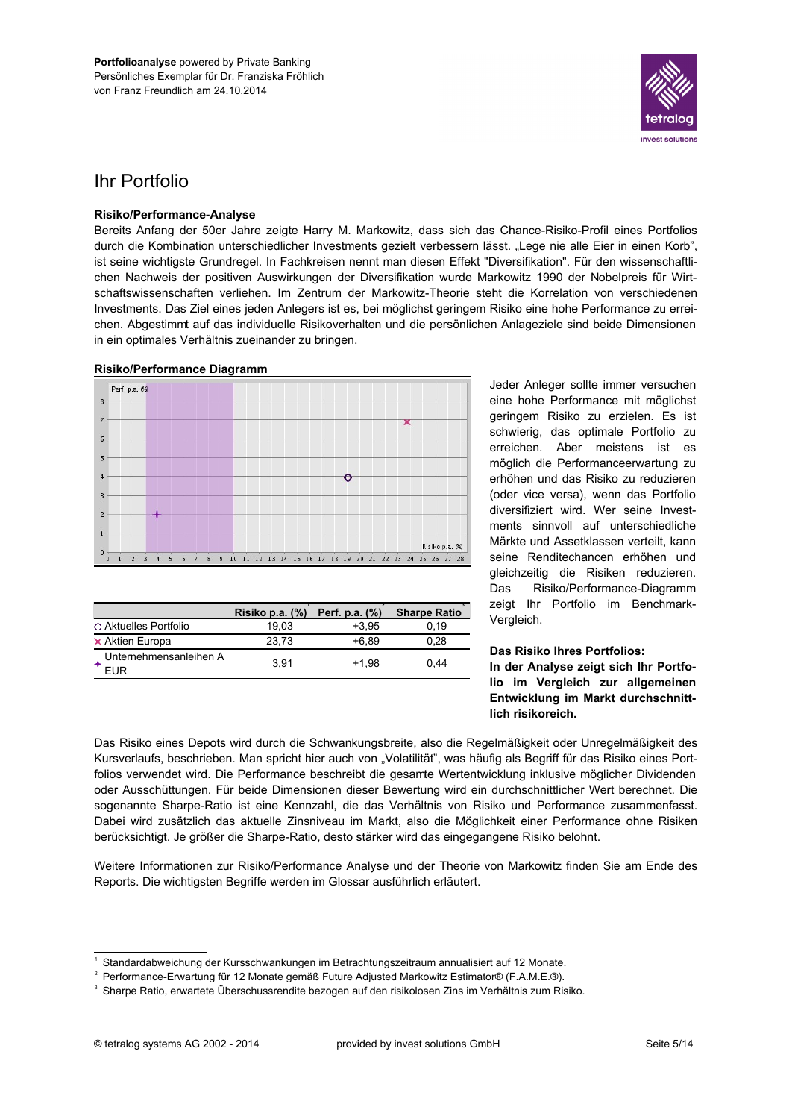

# **Ihr Portfolio**

### Risiko/Performance-Analyse

Bereits Anfang der 50er Jahre zeigte Harry M. Markowitz, dass sich das Chance-Risiko-Profil eines Portfolios durch die Kombination unterschiedlicher Investments gezielt verbessern lässt. "Lege nie alle Eier in einen Korb", ist seine wichtigste Grundregel. In Fachkreisen nennt man diesen Effekt "Diversifikation". Für den wissenschaftlichen Nachweis der positiven Auswirkungen der Diversifikation wurde Markowitz 1990 der Nobelpreis für Wirtschaftswissenschaften verliehen. Im Zentrum der Markowitz-Theorie steht die Korrelation von verschiedenen Investments. Das Ziel eines jeden Anlegers ist es, bei möglichst geringem Risiko eine hohe Performance zu erreichen. Abgestimmt auf das individuelle Risikoverhalten und die persönlichen Anlageziele sind beide Dimensionen in ein optimales Verhältnis zueinander zu bringen.

### **Risiko/Performance Diagramm**



|                               | Risiko p.a. (%) | Perf. p.a. (%) | <b>Sharpe Ratio</b> |
|-------------------------------|-----------------|----------------|---------------------|
| O Aktuelles Portfolio         | 19.03           | $+3.95$        | 0.19                |
| $\times$ Aktien Europa        | 23.73           | $+6.89$        | 0.28                |
| Unternehmensanleihen A<br>FUR | 3.91            | $+1.98$        | 0.44                |

Jeder Anleger sollte immer versuchen eine hohe Performance mit möglichst geringem Risiko zu erzielen. Es ist schwierig, das optimale Portfolio zu erreichen. Aber meistens ist es möglich die Performanceerwartung zu erhöhen und das Risiko zu reduzieren (oder vice versa), wenn das Portfolio diversifiziert wird. Wer seine Investments sinnvoll auf unterschiedliche Märkte und Assetklassen verteilt, kann seine Renditechancen erhöhen und gleichzeitig die Risiken reduzieren. Das. Risiko/Performance-Diagramm zeigt Ihr Portfolio im Benchmark-Vergleich.

### Das Risiko Ihres Portfolios: In der Analyse zeigt sich Ihr Portfolio im Vergleich zur allgemeinen Entwicklung im Markt durchschnittlich risikoreich.

Das Risiko eines Depots wird durch die Schwankungsbreite, also die Regelmäßigkeit oder Unregelmäßigkeit des Kursverlaufs, beschrieben. Man spricht hier auch von "Volatilität", was häufig als Begriff für das Risiko eines Portfolios verwendet wird. Die Performance beschreibt die gesamte Wertentwicklung inklusive möglicher Dividenden oder Ausschüttungen. Für beide Dimensionen dieser Bewertung wird ein durchschnittlicher Wert berechnet. Die sogenannte Sharpe-Ratio ist eine Kennzahl, die das Verhältnis von Risiko und Performance zusammenfasst. Dabei wird zusätzlich das aktuelle Zinsniveau im Markt, also die Möglichkeit einer Performance ohne Risiken berücksichtigt. Je größer die Sharpe-Ratio, desto stärker wird das eingegangene Risiko belohnt.

Weitere Informationen zur Risiko/Performance Analyse und der Theorie von Markowitz finden Sie am Ende des Reports. Die wichtigsten Begriffe werden im Glossar ausführlich erläutert.

Standardabweichung der Kursschwankungen im Betrachtungszeitraum annualisiert auf 12 Monate.

<sup>&</sup>lt;sup>2</sup> Performance-Erwartung für 12 Monate gemäß Future Adjusted Markowitz Estimator® (F.A.M.E.®).

<sup>&</sup>lt;sup>3</sup> Sharpe Ratio, erwartete Überschussrendite bezogen auf den risikolosen Zins im Verhältnis zum Risiko.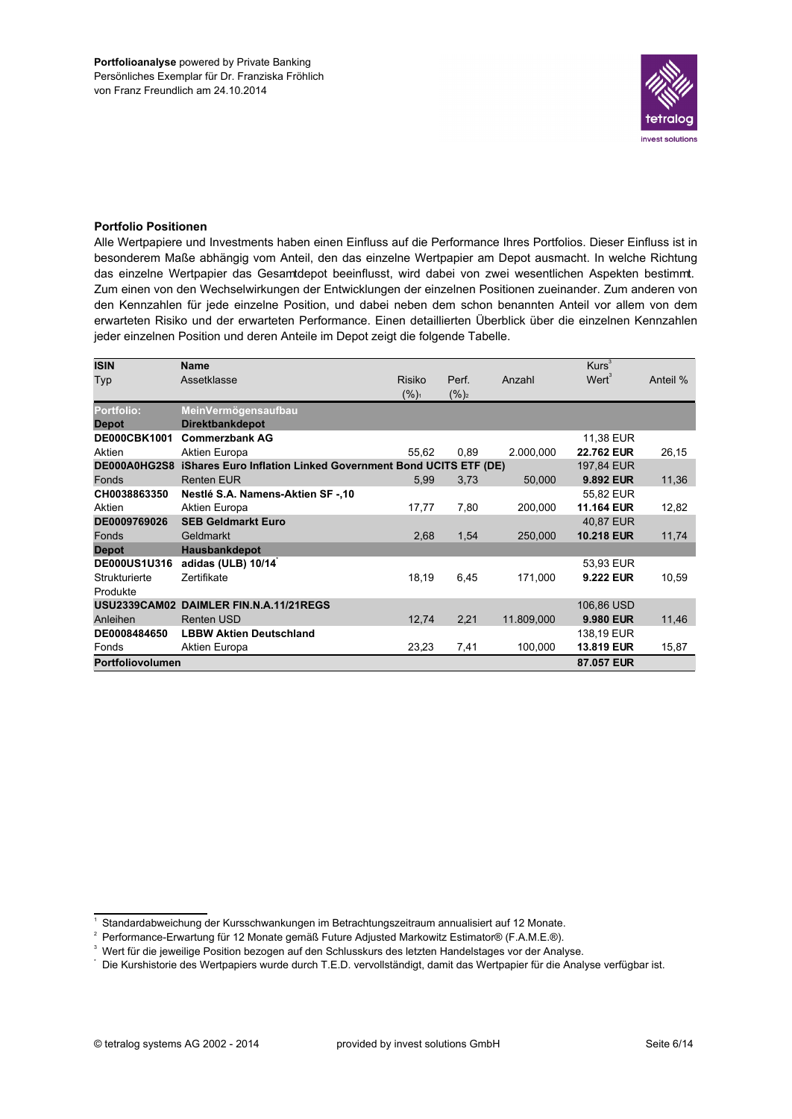

### **Portfolio Positionen**

Alle Wertpapiere und Investments haben einen Einfluss auf die Performance Ihres Portfolios. Dieser Einfluss ist in besonderem Maße abhängig vom Anteil, den das einzelne Wertpapier am Depot ausmacht. In welche Richtung das einzelne Wertpapier das Gesamtdepot beeinflusst, wird dabei von zwei wesentlichen Aspekten bestimmt. Zum einen von den Wechselwirkungen der Entwicklungen der einzelnen Positionen zueinander. Zum anderen von den Kennzahlen für jede einzelne Position, und dabei neben dem schon benannten Anteil vor allem von dem erwarteten Risiko und der erwarteten Performance. Einen detaillierten Überblick über die einzelnen Kennzahlen jeder einzelnen Position und deren Anteile im Depot zeigt die folgende Tabelle.

| <b>ISIN</b>         | <b>Name</b>                                                  |               |          |            | Kurs <sup>3</sup> |          |
|---------------------|--------------------------------------------------------------|---------------|----------|------------|-------------------|----------|
| Typ                 | Assetklasse                                                  | <b>Risiko</b> | Perf.    | Anzahl     | $Wert^3$          | Anteil % |
|                     |                                                              | $(%)_{1}$     | $(\%)_2$ |            |                   |          |
| <b>Portfolio:</b>   | MeinVermögensaufbau                                          |               |          |            |                   |          |
| <b>Depot</b>        | <b>Direktbankdepot</b>                                       |               |          |            |                   |          |
| <b>DE000CBK1001</b> | <b>Commerzbank AG</b>                                        |               |          |            | 11,38 EUR         |          |
| Aktien              | Aktien Europa                                                | 55,62         | 0,89     | 2.000,000  | 22.762 EUR        | 26,15    |
| DE000A0HG2S8        | iShares Euro Inflation Linked Government Bond UCITS ETF (DE) |               |          |            | 197.84 EUR        |          |
| Fonds               | <b>Renten EUR</b>                                            | 5,99          | 3,73     | 50,000     | 9.892 EUR         | 11,36    |
| CH0038863350        | Nestlé S.A. Namens-Aktien SF-,10                             |               |          |            | 55,82 EUR         |          |
| Aktien              | Aktien Europa                                                | 17,77         | 7,80     | 200,000    | 11.164 EUR        | 12,82    |
| DE0009769026        | <b>SEB Geldmarkt Euro</b>                                    |               |          |            | 40,87 EUR         |          |
| Fonds               | Geldmarkt                                                    | 2,68          | 1,54     | 250,000    | <b>10.218 EUR</b> | 11,74    |
| <b>Depot</b>        | Hausbankdepot                                                |               |          |            |                   |          |
| <b>DE000US1U316</b> | adidas (ULB) 10/14                                           |               |          |            | 53,93 EUR         |          |
| Strukturierte       | Zertifikate                                                  | 18,19         | 6,45     | 171,000    | 9.222 EUR         | 10,59    |
| Produkte            |                                                              |               |          |            |                   |          |
|                     | USU2339CAM02 DAIMLER FIN.N.A.11/21REGS                       |               |          |            | 106,86 USD        |          |
| Anleihen            | <b>Renten USD</b>                                            | 12,74         | 2,21     | 11.809,000 | 9.980 EUR         | 11,46    |
| DE0008484650        | <b>LBBW Aktien Deutschland</b>                               |               |          |            | 138.19 EUR        |          |
| Fonds               | Aktien Europa                                                | 23,23         | 7,41     | 100,000    | 13.819 EUR        | 15,87    |
| Portfoliovolumen    |                                                              |               |          |            | 87.057 EUR        |          |

<sup>&</sup>lt;sup>1</sup> Standardabweichung der Kursschwankungen im Betrachtungszeitraum annualisiert auf 12 Monate.

<sup>&</sup>lt;sup>2</sup> Performance-Erwartung für 12 Monate gemäß Future Adjusted Markowitz Estimator® (F.A.M.E.®).

<sup>&</sup>lt;sup>3</sup> Wert für die jeweilige Position bezogen auf den Schlusskurs des letzten Handelstages vor der Analyse.

Die Kurshistorie des Wertpapiers wurde durch T.E.D. vervollständigt, damit das Wertpapier für die Analyse verfügbar ist.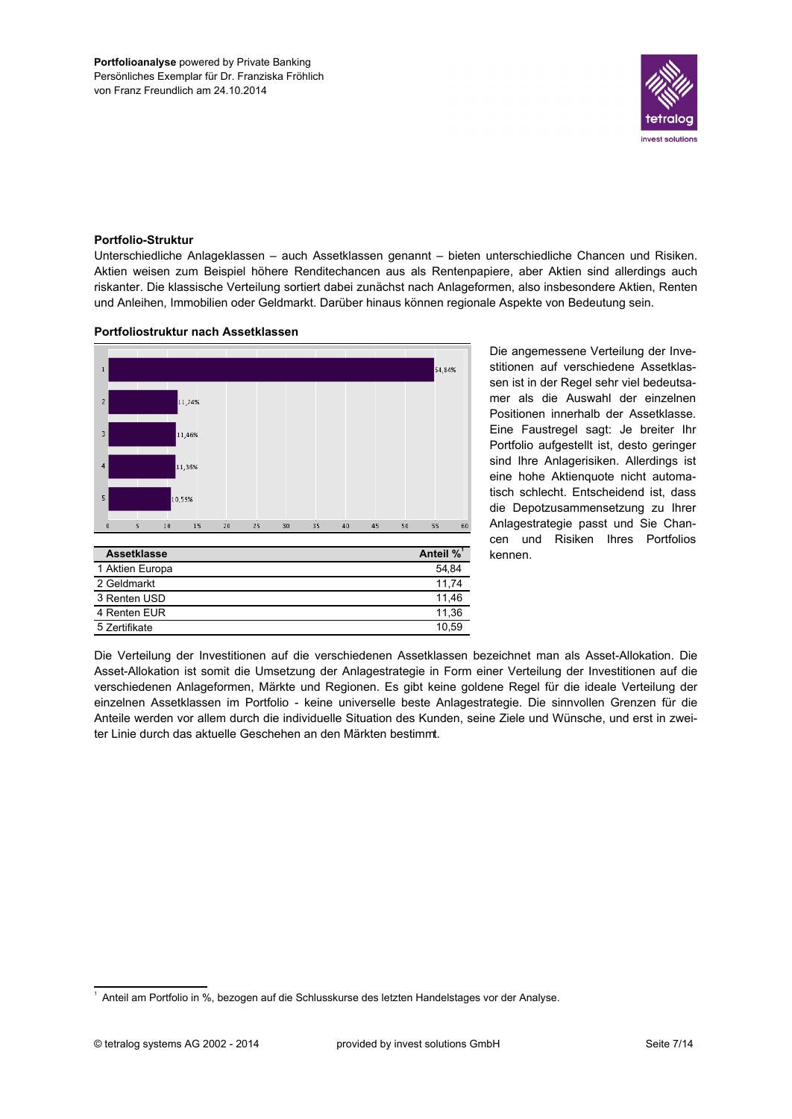

### **Portfolio-Struktur**

Unterschiedliche Anlageklassen - auch Assetklassen genannt - bieten unterschiedliche Chancen und Risiken. Aktien weisen zum Beispiel höhere Renditechancen aus als Rentenpapiere, aber Aktien sind allerdings auch riskanter. Die klassische Verteilung sortiert dabei zunächst nach Anlageformen, also insbesondere Aktien, Renten und Anleihen, Immobilien oder Geldmarkt. Darüber hinaus können regionale Aspekte von Bedeutung sein.

### Portfoliostruktur nach Assetklassen



Die angemessene Verteilung der Investitionen auf verschiedene Assetklassen ist in der Regel sehr viel bedeutsamer als die Auswahl der einzelnen Positionen innerhalb der Assetklasse. Eine Faustregel sagt: Je breiter Ihr Portfolio aufgestellt ist, desto geringer sind Ihre Anlagerisiken. Allerdings ist eine hohe Aktienquote nicht automatisch schlecht. Entscheidend ist, dass die Depotzusammensetzung zu Ihrer Anlagestrategie passt und Sie Chancen und Risiken Ihres Portfolios kennen.

Die Verteilung der Investitionen auf die verschiedenen Assetklassen bezeichnet man als Asset-Allokation. Die Asset-Allokation ist somit die Umsetzung der Anlagestrategie in Form einer Verteilung der Investitionen auf die verschiedenen Anlageformen, Märkte und Regionen. Es gibt keine goldene Regel für die ideale Verteilung der einzelnen Assetklassen im Portfolio - keine universelle beste Anlagestrategie. Die sinnvollen Grenzen für die Anteile werden vor allem durch die individuelle Situation des Kunden, seine Ziele und Wünsche, und erst in zweiter Linie durch das aktuelle Geschehen an den Märkten bestimmt.

<sup>&</sup>lt;sup>1</sup> Anteil am Portfolio in %, bezogen auf die Schlusskurse des letzten Handelstages vor der Analyse.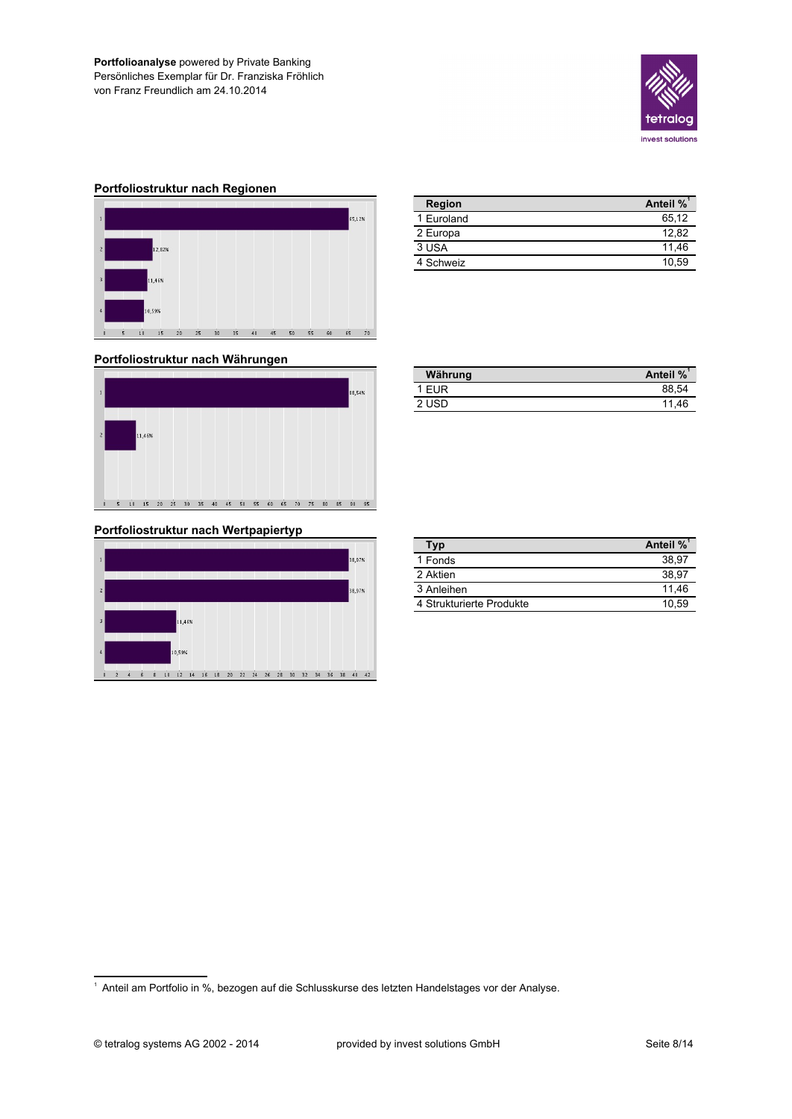

### Portfoliostruktur nach Regionen



#### Region Anteil %<sup>1</sup> 1 Euroland 65,12 12,82 2 Europa  $3 **USA**$  $11,46$ 4 Schweiz 10,59

| Portfoliostruktur nach Währungen |
|----------------------------------|
|----------------------------------|



### Portfoliostruktur nach Wertpapiertyp



| Währung | Anteil % |
|---------|----------|
| 1 EUR   | 88.54    |
| 2 USD   | 11.46    |
|         |          |

| Typ                      | Anteil % |
|--------------------------|----------|
| 1 Fonds                  | 38.97    |
| 2 Aktien                 | 38.97    |
| 3 Anleihen               | 11.46    |
| 4 Strukturierte Produkte | 10.59    |

<sup>&</sup>lt;sup>1</sup> Anteil am Portfolio in %, bezogen auf die Schlusskurse des letzten Handelstages vor der Analyse.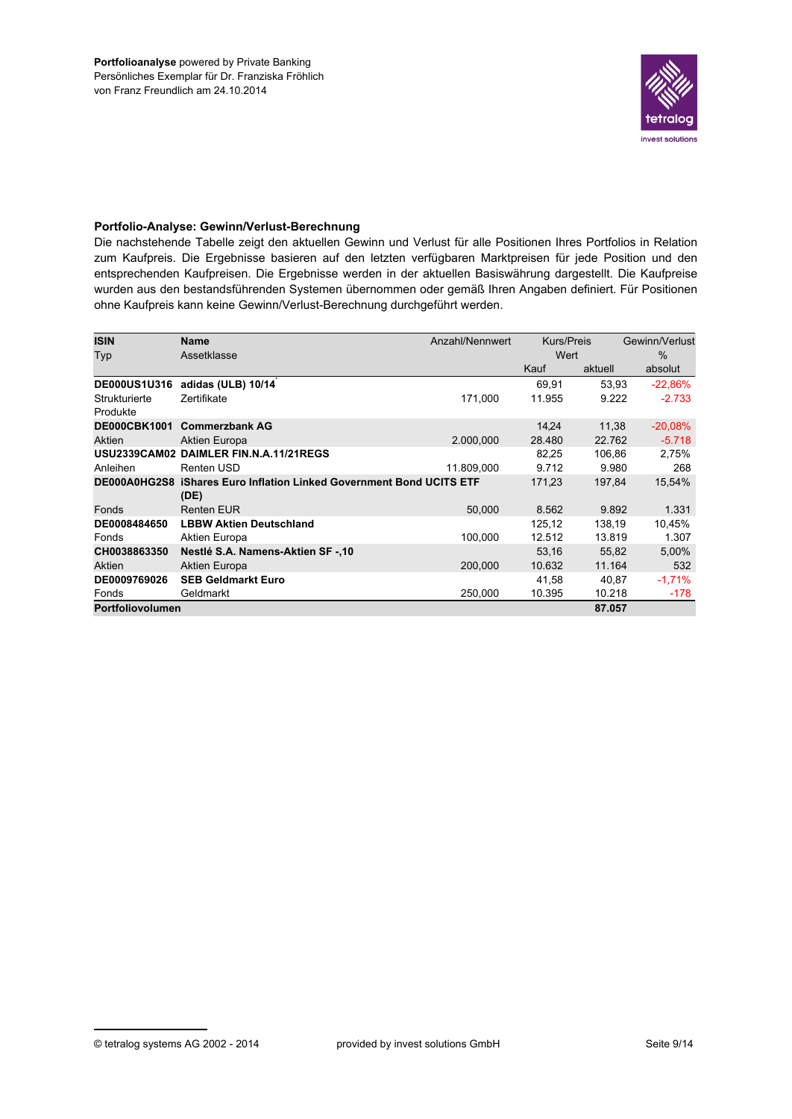

### Portfolio-Analyse: Gewinn/Verlust-Berechnung

Die nachstehende Tabelle zeigt den aktuellen Gewinn und Verlust für alle Positionen Ihres Portfolios in Relation zum Kaufpreis. Die Ergebnisse basieren auf den letzten verfügbaren Marktpreisen für jede Position und den entsprechenden Kaufpreisen. Die Ergebnisse werden in der aktuellen Basiswährung dargestellt. Die Kaufpreise wurden aus den bestandsführenden Systemen übernommen oder gemäß Ihren Angaben definiert. Für Positionen ohne Kaufpreis kann keine Gewinn/Verlust-Berechnung durchgeführt werden.

| <b>ISIN</b>               | <b>Name</b>                                                                  | Anzahl/Nennwert | <b>Kurs/Preis</b> |         | Gewinn/Verlust |
|---------------------------|------------------------------------------------------------------------------|-----------------|-------------------|---------|----------------|
| Typ                       | Assetklasse                                                                  |                 | Wert              |         | $\frac{0}{0}$  |
|                           |                                                                              |                 | Kauf              | aktuell | absolut        |
| <b>DE000US1U316</b>       | adidas (ULB) 10/14                                                           |                 | 69.91             | 53,93   | $-22,86%$      |
| Strukturierte<br>Produkte | Zertifikate                                                                  | 171,000         | 11.955            | 9.222   | $-2.733$       |
| <b>DE000CBK1001</b>       | <b>Commerzbank AG</b>                                                        |                 | 14.24             | 11.38   | $-20,08%$      |
| Aktien                    | Aktien Europa                                                                | 2.000,000       | 28.480            | 22.762  | $-5.718$       |
|                           | USU2339CAM02 DAIMLER FIN.N.A.11/21REGS                                       |                 | 82,25             | 106,86  | 2,75%          |
| Anleihen                  | Renten USD                                                                   | 11.809,000      | 9.712             | 9.980   | 268            |
|                           | DE000A0HG2S8 iShares Euro Inflation Linked Government Bond UCITS ETF<br>(DE) |                 | 171,23            | 197,84  | 15,54%         |
| Fonds                     | <b>Renten EUR</b>                                                            | 50,000          | 8.562             | 9.892   | 1.331          |
| DE0008484650              | <b>LBBW Aktien Deutschland</b>                                               |                 | 125.12            | 138.19  | 10,45%         |
| Fonds                     | Aktien Europa                                                                | 100.000         | 12.512            | 13.819  | 1.307          |
| CH0038863350              | Nestlé S.A. Namens-Aktien SF-,10                                             |                 | 53.16             | 55.82   | 5,00%          |
| Aktien                    | Aktien Europa                                                                | 200,000         | 10.632            | 11.164  | 532            |
| DE0009769026              | <b>SEB Geldmarkt Euro</b>                                                    |                 | 41,58             | 40,87   | $-1,71%$       |
| Fonds                     | Geldmarkt                                                                    | 250,000         | 10.395            | 10.218  | $-178$         |
| <b>Portfoliovolumen</b>   |                                                                              |                 |                   | 87.057  |                |

<sup>©</sup> tetralog systems AG 2002 - 2014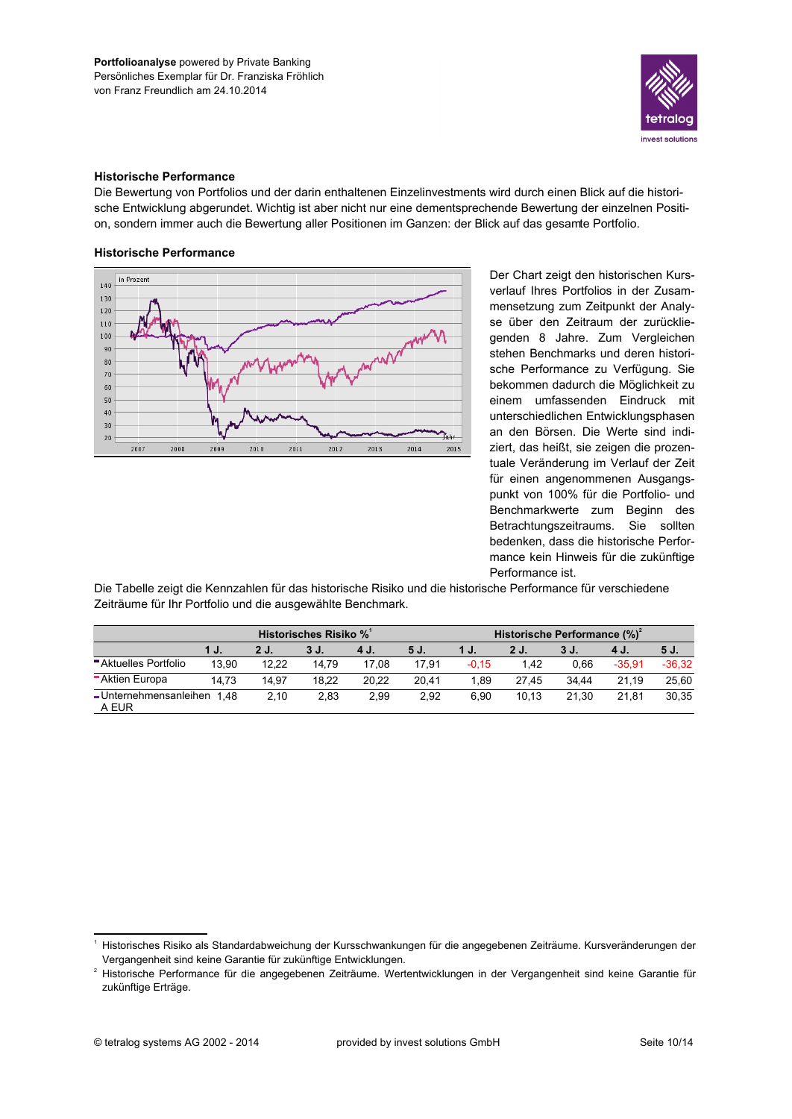

### **Historische Performance**

Die Bewertung von Portfolios und der darin enthaltenen Einzelinvestments wird durch einen Blick auf die historische Entwicklung abgerundet. Wichtig ist aber nicht nur eine dementsprechende Bewertung der einzelnen Position, sondern immer auch die Bewertung aller Positionen im Ganzen: der Blick auf das gesamte Portfolio.

## **Historische Performance**



Der Chart zeigt den historischen Kursverlauf Ihres Portfolios in der Zusammensetzung zum Zeitpunkt der Analyse über den Zeitraum der zurückliegenden 8 Jahre. Zum Vergleichen stehen Benchmarks und deren historische Performance zu Verfügung. Sie bekommen dadurch die Möglichkeit zu einem umfassenden Eindruck mit unterschiedlichen Entwicklungsphasen an den Börsen. Die Werte sind indiziert, das heißt, sie zeigen die prozentuale Veränderung im Verlauf der Zeit für einen angenommenen Ausgangspunkt von 100% für die Portfolio- und Benchmarkwerte zum Beginn des Betrachtungszeitraums. Sie sollten bedenken, dass die historische Performance kein Hinweis für die zukünftige Performance ist.

Die Tabelle zeigt die Kennzahlen für das historische Risiko und die historische Performance für verschiedene Zeiträume für Ihr Portfolio und die ausgewählte Benchmark.

| Historisches Risiko %           |       |       |       |       | Historische Performance (%) |         |       |       |          |          |
|---------------------------------|-------|-------|-------|-------|-----------------------------|---------|-------|-------|----------|----------|
|                                 | 1 J.  | 2 J.  | 3 J.  | 4 J.  | 5 J.                        | 1 J.    | 2 J.  | 3 J.  | 4 J.     | 5 J.     |
| Aktuelles Portfolio             | 13.90 | 12.22 | 14.79 | 17.08 | 17.91                       | $-0.15$ | 1.42  | 0.66  | $-35.91$ | $-36.32$ |
| <b>Aktien Europa</b>            | 14.73 | 14.97 | 18.22 | 20.22 | 20.41                       | 1.89    | 27.45 | 34.44 | 21.19    | 25.60    |
| - Unternehmensanleihen<br>A EUR | 148   | 2.10  | 2.83  | 2.99  | 2.92                        | 6.90    | 10.13 | 21.30 | 21.81    | 30,35    |

<sup>&</sup>lt;sup>1</sup> Historisches Risiko als Standardabweichung der Kursschwankungen für die angegebenen Zeiträume. Kursveränderungen der Vergangenheit sind keine Garantie für zukünftige Entwicklungen.

<sup>&</sup>lt;sup>2</sup> Historische Performance für die angegebenen Zeiträume. Wertentwicklungen in der Vergangenheit sind keine Garantie für zukünftige Erträge.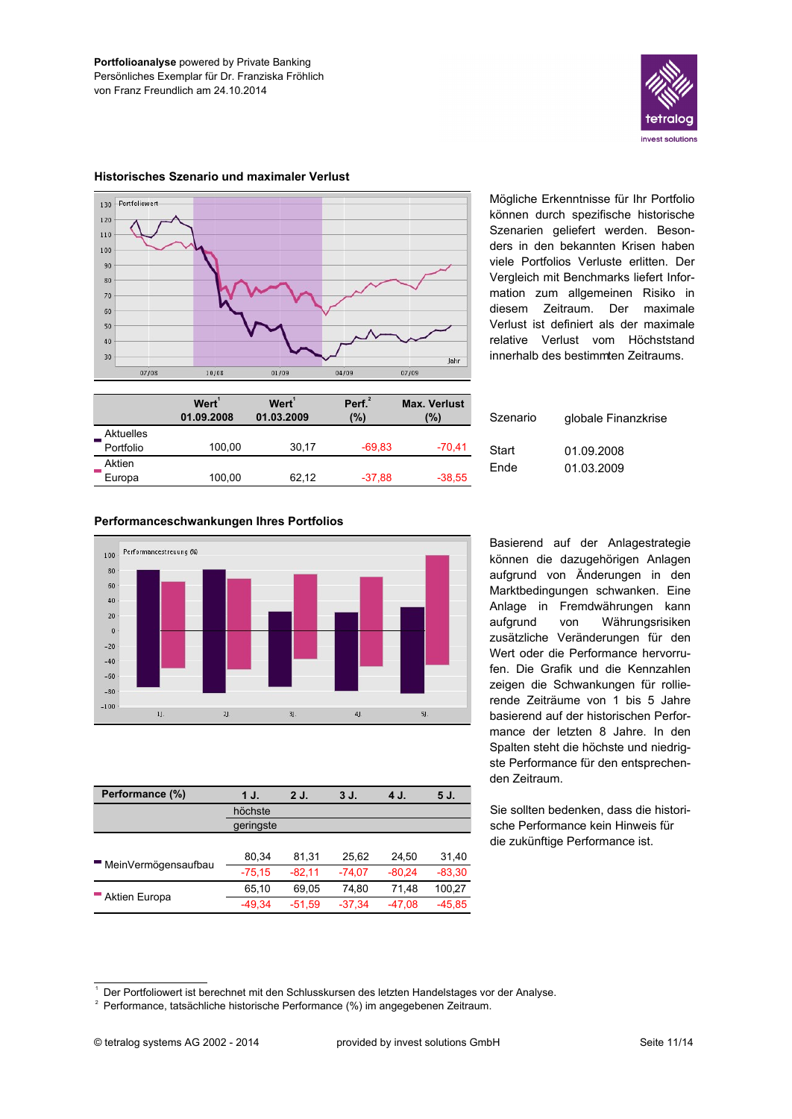



### Historisches Szenario und maximaler Verlust

Performanceschwankungen Ihres Portfolios

Mögliche Erkenntnisse für Ihr Portfolio können durch spezifische historische Szenarien geliefert werden. Besonders in den bekannten Krisen haben viele Portfolios Verluste erlitten. Der Vergleich mit Benchmarks liefert Information zum allgemeinen Risiko in Zeitraum. Der maximale diesem Verlust ist definiert als der maximale relative Verlust vom Höchststand innerhalb des bestimmten Zeitraums.

|           | Wert <sup>'</sup><br>01.09.2008 | Wert <sup>1</sup><br>01.03.2009 | Perf <sup>2</sup><br>$(\%)$ | <b>Max. Verlust</b><br>(%) |
|-----------|---------------------------------|---------------------------------|-----------------------------|----------------------------|
| Aktuelles |                                 |                                 |                             |                            |
| Portfolio | 100,00                          | 30.17                           | $-69.83$                    | $-70,41$                   |
| Aktien    |                                 |                                 |                             |                            |
| Europa    | 100,00                          | 62,12                           | $-37,88$                    | $-38,55$                   |

| Szenario | globale Finanzkrise |
|----------|---------------------|
| Start    | 01.09.2008          |
| Ende     | 01.03.2009          |

#### Performancestreuung OG 100 80 60  $40$  $20$  $\overline{0}$  $-20$  $-40$  $-60$  $-80$  $-100$  $1$ J.  $2J.$  $3J.$  $4J.$  $51$

| Performance (%)     | 1 J.      | 2J.      | 3 J.     | 4 J.     | 5 J.     |
|---------------------|-----------|----------|----------|----------|----------|
|                     | höchste   |          |          |          |          |
|                     | geringste |          |          |          |          |
|                     |           |          |          |          |          |
| MeinVermögensaufbau | 80.34     | 81.31    | 25.62    | 24.50    | 31,40    |
|                     | $-75.15$  | $-82.11$ | $-74.07$ | $-80.24$ | $-83,30$ |
| Aktien Europa       | 65.10     | 69.05    | 74.80    | 71.48    | 100,27   |
|                     | $-49.34$  | $-51.59$ | $-37.34$ | $-47.08$ | $-45.85$ |

Basierend auf der Anlagestrategie können die dazugehörigen Anlagen aufgrund von Änderungen in den Marktbedingungen schwanken. Eine Anlage in Fremdwährungen kann aufgrund von Währungsrisiken zusätzliche Veränderungen für den Wert oder die Performance hervorrufen. Die Grafik und die Kennzahlen zeigen die Schwankungen für rollierende Zeiträume von 1 bis 5 Jahre basierend auf der historischen Performance der letzten 8 Jahre. In den Spalten steht die höchste und niedrigste Performance für den entsprechenden Zeitraum.

Sie sollten bedenken, dass die historische Performance kein Hinweis für die zukünftige Performance ist.

<sup>&</sup>lt;sup>1</sup> Der Portfoliowert ist berechnet mit den Schlusskursen des letzten Handelstages vor der Analyse.

 $2$  Performance, tatsächliche historische Performance (%) im angegebenen Zeitraum.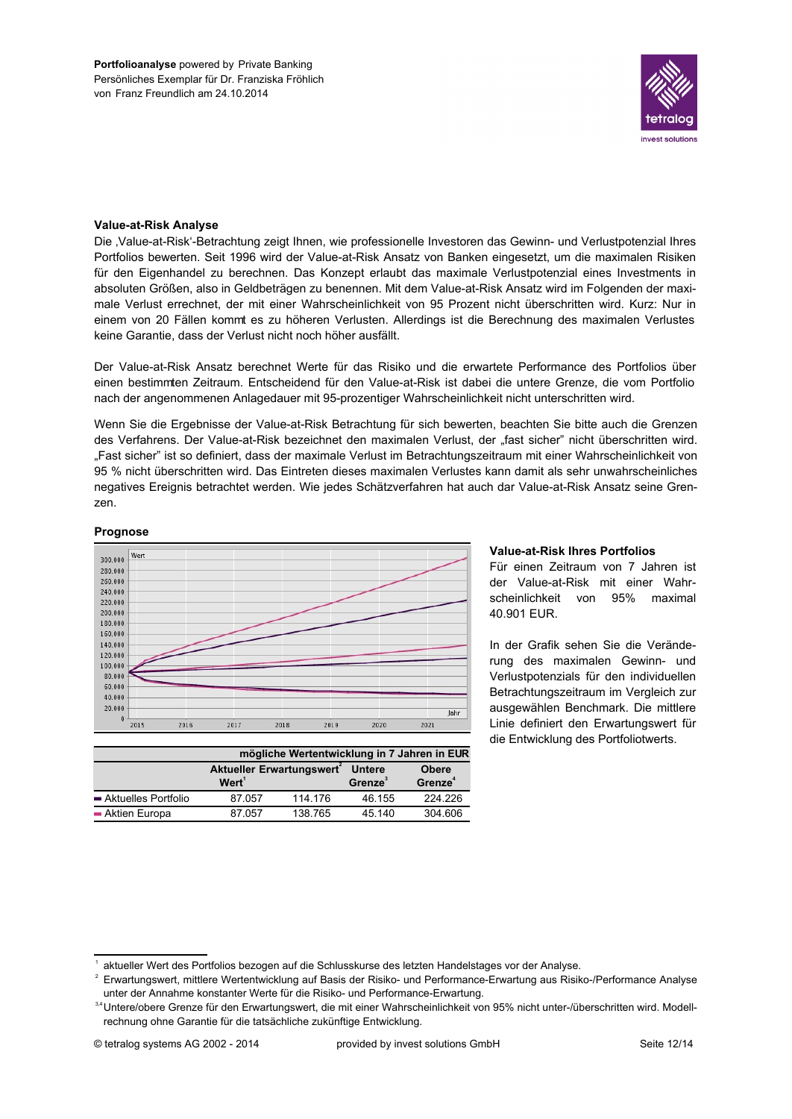

### **Value-at-Risk Analyse**

Die 'Value-at-Risk'-Betrachtung zeigt Ihnen, wie professionelle Investoren das Gewinn- und Verlustpotenzial Ihres Portfolios bewerten. Seit 1996 wird der Value-at-Risk Ansatz von Banken eingesetzt, um die maximalen Risiken für den Eigenhandel zu berechnen. Das Konzept erlaubt das maximale Verlustpotenzial eines Investments in absoluten Größen, also in Geldbeträgen zu benennen. Mit dem Value-at-Risk Ansatz wird im Folgenden der maximale Verlust errechnet, der mit einer Wahrscheinlichkeit von 95 Prozent nicht überschritten wird. Kurz: Nur in einem von 20 Fällen kommt es zu höheren Verlusten. Allerdings ist die Berechnung des maximalen Verlustes keine Garantie, dass der Verlust nicht noch höher ausfällt.

Der Value-at-Risk Ansatz berechnet Werte für das Risiko und die erwartete Performance des Portfolios über einen bestimmten Zeitraum. Entscheidend für den Value-at-Risk ist dabei die untere Grenze, die vom Portfolio nach der angenommenen Anlagedauer mit 95-prozentiger Wahrscheinlichkeit nicht unterschritten wird.

Wenn Sie die Ergebnisse der Value-at-Risk Betrachtung für sich bewerten, beachten Sie bitte auch die Grenzen des Verfahrens. Der Value-at-Risk bezeichnet den maximalen Verlust, der "fast sicher" nicht überschritten wird. "Fast sicher" ist so definiert, dass der maximale Verlust im Betrachtungszeitraum mit einer Wahrscheinlichkeit von 95 % nicht überschritten wird. Das Eintreten dieses maximalen Verlustes kann damit als sehr unwahrscheinliches negatives Ereignis betrachtet werden. Wie jedes Schätzverfahren hat auch dar Value-at-Risk Ansatz seine Grenzen.

### Prognose



|                     | mögliche Wertentwicklung in 7 Jahren in EUR       |         |                                |                                            |  |  |  |
|---------------------|---------------------------------------------------|---------|--------------------------------|--------------------------------------------|--|--|--|
|                     | Aktueller Erwartungswert <sup>2</sup><br>$Wert^1$ |         | <b>Untere</b><br><b>Grenze</b> | <b>Obere</b><br><b>Grenze</b> <sup>4</sup> |  |  |  |
| Aktuelles Portfolio | 87.057                                            | 114.176 | 46.155                         | 224.226                                    |  |  |  |
| - Aktien Europa     | 87.057                                            | 138.765 | 45.140                         | 304.606                                    |  |  |  |

### **Value-at-Risk Ihres Portfolios**

Für einen Zeitraum von 7 Jahren ist der Value-at-Risk mit einer Wahrscheinlichkeit von 95% maximal 40.901 EUR.

In der Grafik sehen Sie die Veränderung des maximalen Gewinn- und Verlustpotenzials für den individuellen Betrachtungszeitraum im Vergleich zur ausgewählen Benchmark. Die mittlere Linie definiert den Erwartungswert für die Entwicklung des Portfoliotwerts.

aktueller Wert des Portfolios bezogen auf die Schlusskurse des letzten Handelstages vor der Analyse.

Erwartungswert, mittlere Wertentwicklung auf Basis der Risiko- und Performance-Erwartung aus Risiko-/Performance Analyse unter der Annahme konstanter Werte für die Risiko- und Performance-Erwartung.

<sup>&</sup>lt;sup>34</sup>Untere/obere Grenze für den Erwartungswert, die mit einer Wahrscheinlichkeit von 95% nicht unter-/überschritten wird. Modellrechnung ohne Garantie für die tatsächliche zukünftige Entwicklung.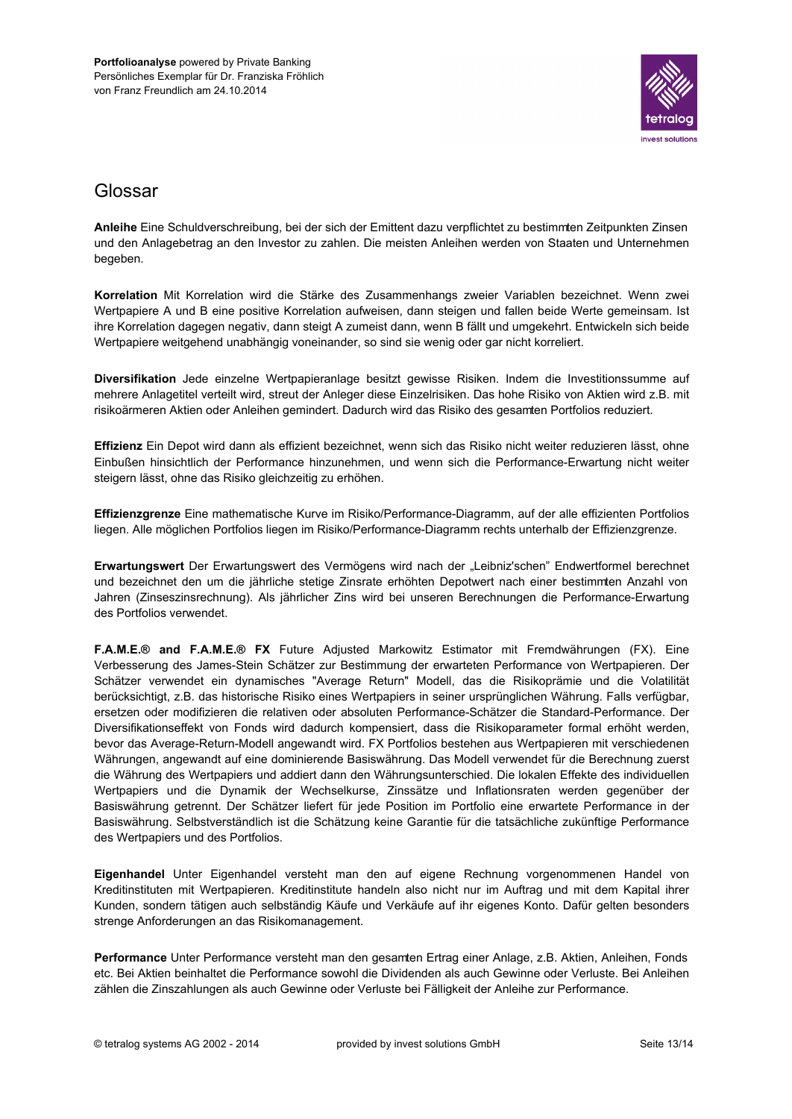

# Glossar

Anleihe Eine Schuldverschreibung, bei der sich der Emittent dazu verpflichtet zu bestimmten Zeitpunkten Zinsen und den Anlagebetrag an den Investor zu zahlen. Die meisten Anleihen werden von Staaten und Unternehmen begeben.

Korrelation Mit Korrelation wird die Stärke des Zusammenhangs zweier Variablen bezeichnet. Wenn zwei Wertpapiere A und B eine positive Korrelation aufweisen, dann steigen und fallen beide Werte gemeinsam. Ist ihre Korrelation dagegen negativ, dann steigt A zumeist dann, wenn B fällt und umgekehrt. Entwickeln sich beide Wertpapiere weitgehend unabhängig voneinander, so sind sie wenig oder gar nicht korreliert.

Diversifikation Jede einzelne Wertpapieranlage besitzt gewisse Risiken. Indem die Investitionssumme auf mehrere Anlagetitel verteilt wird, streut der Anleger diese Einzelrisiken. Das hohe Risiko von Aktien wird z.B. mit risikoärmeren Aktien oder Anleihen gemindert. Dadurch wird das Risiko des gesamten Portfolios reduziert.

Effizienz Ein Depot wird dann als effizient bezeichnet, wenn sich das Risiko nicht weiter reduzieren lässt, ohne Einbußen hinsichtlich der Performance hinzunehmen, und wenn sich die Performance-Erwartung nicht weiter steigern lässt, ohne das Risiko gleichzeitig zu erhöhen.

Effizienzgrenze Eine mathematische Kurve im Risiko/Performance-Diagramm, auf der alle effizienten Portfolios liegen. Alle möglichen Portfolios liegen im Risiko/Performance-Diagramm rechts unterhalb der Effizienzgrenze.

Erwartungswert Der Erwartungswert des Vermögens wird nach der "Leibniz'schen" Endwertformel berechnet und bezeichnet den um die jährliche stetige Zinsrate erhöhten Depotwert nach einer bestimmten Anzahl von Jahren (Zinseszinsrechnung). Als jährlicher Zins wird bei unseren Berechnungen die Performance-Erwartung des Portfolios verwendet.

F.A.M.E.® and F.A.M.E.® FX Future Adjusted Markowitz Estimator mit Fremdwährungen (FX). Eine Verbesserung des James-Stein Schätzer zur Bestimmung der erwarteten Performance von Wertpapieren. Der Schätzer verwendet ein dynamisches "Average Return" Modell, das die Risikoprämie und die Volatilität berücksichtigt, z.B. das historische Risiko eines Wertpapiers in seiner ursprünglichen Währung. Falls verfügbar, ersetzen oder modifizieren die relativen oder absoluten Performance-Schätzer die Standard-Performance. Der Diversifikationseffekt von Fonds wird dadurch kompensiert, dass die Risikoparameter formal erhöht werden, bevor das Average-Return-Modell angewandt wird. FX Portfolios bestehen aus Wertpapieren mit verschiedenen Währungen, angewandt auf eine dominierende Basiswährung. Das Modell verwendet für die Berechnung zuerst die Währung des Wertpapiers und addiert dann den Währungsunterschied. Die lokalen Effekte des individuellen Wertpapiers und die Dynamik der Wechselkurse, Zinssätze und Inflationsraten werden gegenüber der Basiswährung getrennt. Der Schätzer liefert für jede Position im Portfolio eine erwartete Performance in der Basiswährung. Selbstverständlich ist die Schätzung keine Garantie für die tatsächliche zukünftige Performance des Wertpapiers und des Portfolios.

Eigenhandel Unter Eigenhandel versteht man den auf eigene Rechnung vorgenommenen Handel von Kreditinstituten mit Wertpapieren. Kreditinstitute handeln also nicht nur im Auftrag und mit dem Kapital ihrer Kunden, sondern tätigen auch selbständig Käufe und Verkäufe auf ihr eigenes Konto. Dafür gelten besonders strenge Anforderungen an das Risikomanagement.

Performance Unter Performance versteht man den gesamten Ertrag einer Anlage, z.B. Aktien, Anleihen, Fonds etc. Bei Aktien beinhaltet die Performance sowohl die Dividenden als auch Gewinne oder Verluste. Bei Anleihen zählen die Zinszahlungen als auch Gewinne oder Verluste bei Fälligkeit der Anleihe zur Performance.